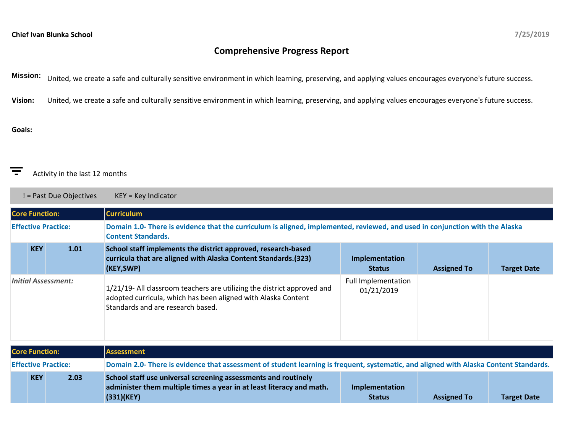# **Comprehensive Progress Report**

**Mission:** United, we create a safe and culturally sensitive environment in which learning, preserving, and applying values encourages everyone's future success.

**Vision:** United, we create a safe and culturally sensitive environment in which learning, preserving, and applying values encourages everyone's future success.

## **Goals:**

#### ਵ Activity in the last 12 months

! = Past Due Objectives KEY = Key Indicator

| <b>Core Function:</b>      |            |      | <b>Curriculum</b>                                                                                                                                                             |                                          |                    |                    |  |  |
|----------------------------|------------|------|-------------------------------------------------------------------------------------------------------------------------------------------------------------------------------|------------------------------------------|--------------------|--------------------|--|--|
| <b>Effective Practice:</b> |            |      | Domain 1.0- There is evidence that the curriculum is aligned, implemented, reviewed, and used in conjunction with the Alaska<br><b>Content Standards.</b>                     |                                          |                    |                    |  |  |
|                            | <b>KEY</b> | 1.01 | School staff implements the district approved, research-based<br>curricula that are aligned with Alaska Content Standards. (323)<br>(KEY,SWP)                                 | Implementation<br><b>Status</b>          | <b>Assigned To</b> | <b>Target Date</b> |  |  |
| <b>Initial Assessment:</b> |            |      | 1/21/19- All classroom teachers are utilizing the district approved and<br>adopted curricula, which has been aligned with Alaska Content<br>Standards and are research based. | <b>Full Implementation</b><br>01/21/2019 |                    |                    |  |  |
| <b>Core Function:</b>      |            |      | <b>Assessment</b>                                                                                                                                                             |                                          |                    |                    |  |  |
| <b>Effective Practice:</b> |            |      | Domain 2.0- There is evidence that assessment of student learning is frequent, systematic, and aligned with Alaska Content Standards.                                         |                                          |                    |                    |  |  |
| <b>KEY</b><br>2.03         |            |      | School staff use universal screening assessments and routinely<br>administer them multiple times a year in at least literacy and math.<br>(331)(KEY)                          | Implementation<br><b>Status</b>          | <b>Assigned To</b> | <b>Target Date</b> |  |  |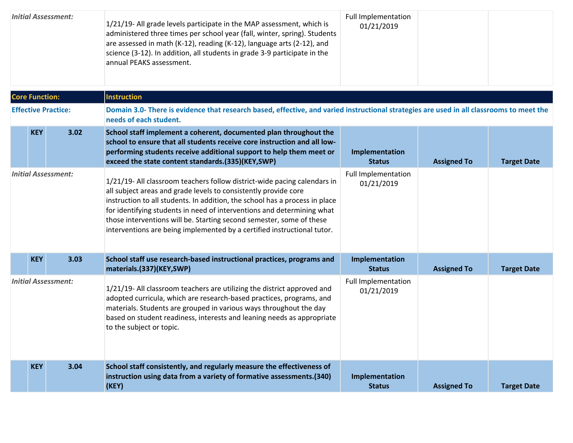| <b>Initial Assessment:</b> |                       |                            | 1/21/19- All grade levels participate in the MAP assessment, which is<br>administered three times per school year (fall, winter, spring). Students<br>are assessed in math (K-12), reading (K-12), language arts (2-12), and<br>science (3-12). In addition, all students in grade 3-9 participate in the<br>annual PEAKS assessment.                                                                                                                   | <b>Full Implementation</b><br>01/21/2019 |                    |                    |
|----------------------------|-----------------------|----------------------------|---------------------------------------------------------------------------------------------------------------------------------------------------------------------------------------------------------------------------------------------------------------------------------------------------------------------------------------------------------------------------------------------------------------------------------------------------------|------------------------------------------|--------------------|--------------------|
|                            | <b>Core Function:</b> |                            | <b>Instruction</b>                                                                                                                                                                                                                                                                                                                                                                                                                                      |                                          |                    |                    |
|                            |                       | <b>Effective Practice:</b> | Domain 3.0- There is evidence that research based, effective, and varied instructional strategies are used in all classrooms to meet the<br>needs of each student.                                                                                                                                                                                                                                                                                      |                                          |                    |                    |
|                            | <b>KEY</b>            | 3.02                       | School staff implement a coherent, documented plan throughout the<br>school to ensure that all students receive core instruction and all low-<br>performing students receive additional support to help them meet or<br>exceed the state content standards.(335)(KEY,SWP)                                                                                                                                                                               | Implementation<br><b>Status</b>          | <b>Assigned To</b> | <b>Target Date</b> |
| <b>Initial Assessment:</b> |                       |                            | 1/21/19- All classroom teachers follow district-wide pacing calendars in<br>all subject areas and grade levels to consistently provide core<br>instruction to all students. In addition, the school has a process in place<br>for identifying students in need of interventions and determining what<br>those interventions will be. Starting second semester, some of these<br>interventions are being implemented by a certified instructional tutor. | <b>Full Implementation</b><br>01/21/2019 |                    |                    |
|                            | <b>KEY</b>            | 3.03                       | School staff use research-based instructional practices, programs and<br>materials.(337)(KEY,SWP)                                                                                                                                                                                                                                                                                                                                                       | Implementation<br><b>Status</b>          | <b>Assigned To</b> | <b>Target Date</b> |
| <b>Initial Assessment:</b> |                       |                            | 1/21/19- All classroom teachers are utilizing the district approved and<br>adopted curricula, which are research-based practices, programs, and<br>materials. Students are grouped in various ways throughout the day<br>based on student readiness, interests and leaning needs as appropriate<br>to the subject or topic.                                                                                                                             | Full Implementation<br>01/21/2019        |                    |                    |
|                            | <b>KEY</b>            | 3.04                       | School staff consistently, and regularly measure the effectiveness of<br>instruction using data from a variety of formative assessments.(340)<br>(KEY)                                                                                                                                                                                                                                                                                                  | Implementation<br><b>Status</b>          | <b>Assigned To</b> | <b>Target Date</b> |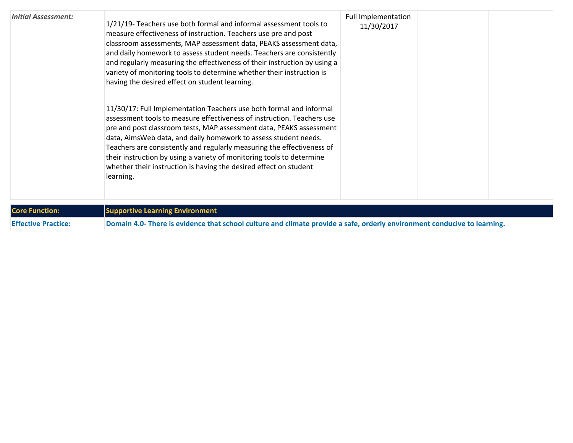| <b>Initial Assessment:</b> | 1/21/19- Teachers use both formal and informal assessment tools to<br>measure effectiveness of instruction. Teachers use pre and post<br>classroom assessments, MAP assessment data, PEAKS assessment data,<br>and daily homework to assess student needs. Teachers are consistently<br>and regularly measuring the effectiveness of their instruction by using a<br>variety of monitoring tools to determine whether their instruction is<br>having the desired effect on student learning.                                 | Full Implementation<br>11/30/2017 |  |
|----------------------------|------------------------------------------------------------------------------------------------------------------------------------------------------------------------------------------------------------------------------------------------------------------------------------------------------------------------------------------------------------------------------------------------------------------------------------------------------------------------------------------------------------------------------|-----------------------------------|--|
|                            | 11/30/17: Full Implementation Teachers use both formal and informal<br>assessment tools to measure effectiveness of instruction. Teachers use<br>pre and post classroom tests, MAP assessment data, PEAKS assessment<br>data, AimsWeb data, and daily homework to assess student needs.<br>Teachers are consistently and regularly measuring the effectiveness of<br>their instruction by using a variety of monitoring tools to determine<br>whether their instruction is having the desired effect on student<br>learning. |                                   |  |

| <b>Core Function:</b>      | <b>Supportive Learning Environment</b>                                                                                   |
|----------------------------|--------------------------------------------------------------------------------------------------------------------------|
| <b>Effective Practice:</b> | Domain 4.0- There is evidence that school culture and climate provide a safe, orderly environment conducive to learning. |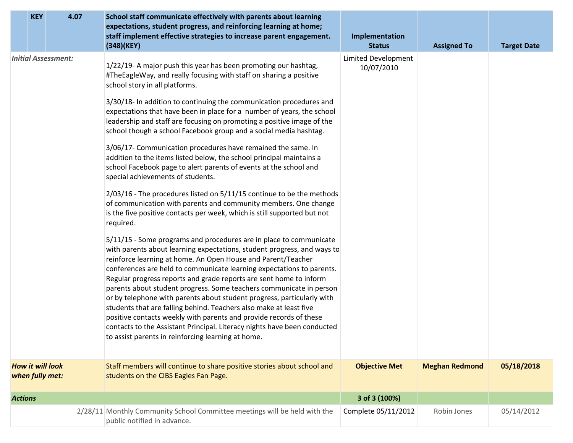| <b>KEY</b><br>4.07                         | School staff communicate effectively with parents about learning<br>expectations, student progress, and reinforcing learning at home;<br>staff implement effective strategies to increase parent engagement.<br>(348)(KEY)                                                                                                                                                                                                                                                                                                                                                                                                                                                                                                                                                                                                                                                                                                                                     | Implementation<br><b>Status</b>          | <b>Assigned To</b>    | <b>Target Date</b> |
|--------------------------------------------|----------------------------------------------------------------------------------------------------------------------------------------------------------------------------------------------------------------------------------------------------------------------------------------------------------------------------------------------------------------------------------------------------------------------------------------------------------------------------------------------------------------------------------------------------------------------------------------------------------------------------------------------------------------------------------------------------------------------------------------------------------------------------------------------------------------------------------------------------------------------------------------------------------------------------------------------------------------|------------------------------------------|-----------------------|--------------------|
| <b>Initial Assessment:</b>                 | 1/22/19- A major push this year has been promoting our hashtag,<br>#TheEagleWay, and really focusing with staff on sharing a positive<br>school story in all platforms.<br>3/30/18- In addition to continuing the communication procedures and<br>expectations that have been in place for a number of years, the school<br>leadership and staff are focusing on promoting a positive image of the<br>school though a school Facebook group and a social media hashtag.<br>3/06/17- Communication procedures have remained the same. In<br>addition to the items listed below, the school principal maintains a<br>school Facebook page to alert parents of events at the school and<br>special achievements of students.<br>2/03/16 - The procedures listed on 5/11/15 continue to be the methods<br>of communication with parents and community members. One change<br>is the five positive contacts per week, which is still supported but not<br>required. | <b>Limited Development</b><br>10/07/2010 |                       |                    |
|                                            | 5/11/15 - Some programs and procedures are in place to communicate<br>with parents about learning expectations, student progress, and ways to<br>reinforce learning at home. An Open House and Parent/Teacher<br>conferences are held to communicate learning expectations to parents.<br>Regular progress reports and grade reports are sent home to inform<br>parents about student progress. Some teachers communicate in person<br>or by telephone with parents about student progress, particularly with<br>students that are falling behind. Teachers also make at least five<br>positive contacts weekly with parents and provide records of these<br>contacts to the Assistant Principal. Literacy nights have been conducted<br>to assist parents in reinforcing learning at home.                                                                                                                                                                    |                                          |                       |                    |
| <b>How it will look</b><br>when fully met: | Staff members will continue to share positive stories about school and<br>students on the CIBS Eagles Fan Page.                                                                                                                                                                                                                                                                                                                                                                                                                                                                                                                                                                                                                                                                                                                                                                                                                                                | <b>Objective Met</b>                     | <b>Meghan Redmond</b> | 05/18/2018         |
| <b>Actions</b>                             |                                                                                                                                                                                                                                                                                                                                                                                                                                                                                                                                                                                                                                                                                                                                                                                                                                                                                                                                                                | 3 of 3 (100%)                            |                       |                    |
|                                            | 2/28/11 Monthly Community School Committee meetings will be held with the<br>public notified in advance.                                                                                                                                                                                                                                                                                                                                                                                                                                                                                                                                                                                                                                                                                                                                                                                                                                                       | Complete 05/11/2012                      | Robin Jones           | 05/14/2012         |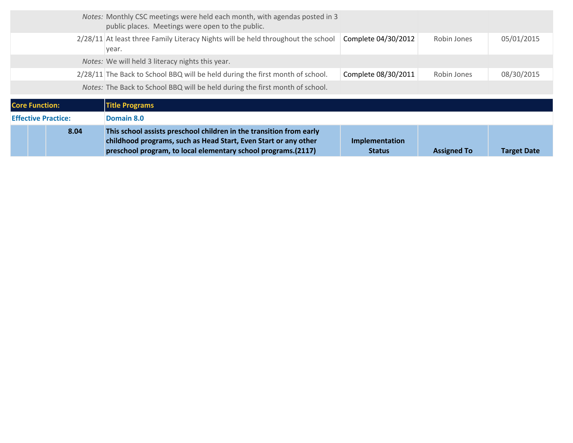|                            | 8.04 | This school assists preschool children in the transition from early<br>childhood programs, such as Head Start, Even Start or any other<br>preschool program, to local elementary school programs.(2117) | Implementation<br><b>Status</b> | <b>Assigned To</b> | <b>Target Date</b> |
|----------------------------|------|---------------------------------------------------------------------------------------------------------------------------------------------------------------------------------------------------------|---------------------------------|--------------------|--------------------|
| <b>Effective Practice:</b> |      | Domain 8.0                                                                                                                                                                                              |                                 |                    |                    |
| <b>Core Function:</b>      |      | <b>Title Programs</b>                                                                                                                                                                                   |                                 |                    |                    |
|                            |      | Notes: The Back to School BBQ will be held during the first month of school.                                                                                                                            |                                 |                    |                    |
|                            |      | 2/28/11 The Back to School BBQ will be held during the first month of school.                                                                                                                           | Complete 08/30/2011             | Robin Jones        | 08/30/2015         |
|                            |      | Notes: We will held 3 literacy nights this year.                                                                                                                                                        |                                 |                    |                    |
|                            |      | 2/28/11 At least three Family Literacy Nights will be held throughout the school<br>year.                                                                                                               | Complete 04/30/2012             | Robin Jones        | 05/01/2015         |
|                            |      | Notes: Monthly CSC meetings were held each month, with agendas posted in 3<br>public places. Meetings were open to the public.                                                                          |                                 |                    |                    |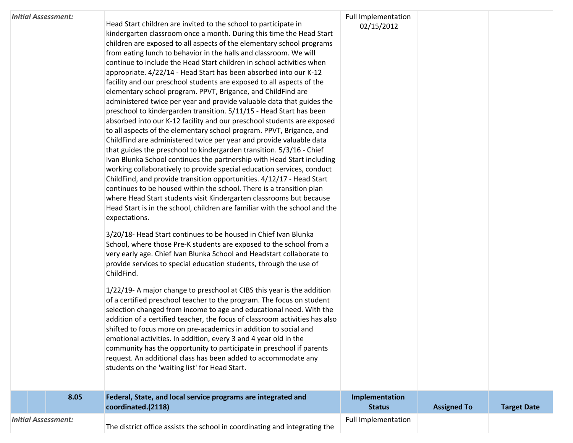### *Initial Assessment:*

Head Start children are invited to the school to participate in kindergarten classroom once a month. During this time the Head Start children are exposed to all aspects of the elementary school programs from eating lunch to behavior in the halls and classroom. We will continue to include the Head Start children in school activities when appropriate. 4/22/14 - Head Start has been absorbed into our K-12 facility and our preschool students are exposed to all aspects of the elementary school program. PPVT, Brigance, and ChildFind are administered twice per year and provide valuable data that guides the preschool to kindergarden transition. 5/11/15 - Head Start has been absorbed into our K-12 facility and our preschool students are exposed to all aspects of the elementary school program. PPVT, Brigance, and ChildFind are administered twice per year and provide valuable data that guides the preschool to kindergarden transition. 5/3/16 - Chief Ivan Blunka School continues the partnership with Head Start including working collaboratively to provide special education services, conduct ChildFind, and provide transition opportunities. 4/12/17 - Head Start continues to be housed within the school. There is a transition plan where Head Start students visit Kindergarten classrooms but because Head Start is in the school, children are familiar with the school and the expectations.

3/20/18- Head Start continues to be housed in Chief Ivan Blunka School, where those Pre-K students are exposed to the school from a very early age. Chief Ivan Blunka School and Headstart collaborate to provide services to special education students, through the use of ChildFind.

1/22/19- A major change to preschool at CIBS this year is the addition of a certified preschool teacher to the program. The focus on student selection changed from income to age and educational need. With the addition of a certified teacher, the focus of classroom activities has also shifted to focus more on pre-academics in addition to social and emotional activities. In addition, every 3 and 4 year old in the community has the opportunity to participate in preschool if parents request. An additional class has been added to accommodate any students on the 'waiting list' for Head Start.

| <b>Full Implementation</b> |
|----------------------------|
| 02/15/2012                 |

**Implementation** 

Full Implementation

**Status Assigned To Target Date**

| The district office assists the school in coordinating and integrating the |  |  |
|----------------------------------------------------------------------------|--|--|
|----------------------------------------------------------------------------|--|--|

**8.05 Federal, State, and local service programs are integrated and** 

**coordinated.(2118)**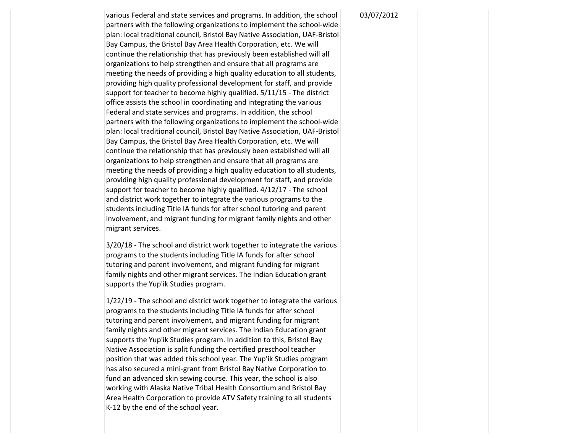various Federal and state services and programs. In addition, the school partners with the following organizations to implement the school-wide plan: local traditional council, Bristol Bay Native Association, UAF-Bristol Bay Campus, the Bristol Bay Area Health Corporation, etc. We will continue the relationship that has previously been established will all organizations to help strengthen and ensure that all programs are meeting the needs of providing a high quality education to all students, providing high quality professional development for staff, and provide support for teacher to become highly qualified. 5/11/15 - The district office assists the school in coordinating and integrating the various Federal and state services and programs. In addition, the school partners with the following organizations to implement the school-wide plan: local traditional council, Bristol Bay Native Association, UAF-Bristol Bay Campus, the Bristol Bay Area Health Corporation, etc. We will continue the relationship that has previously been established will all organizations to help strengthen and ensure that all programs are meeting the needs of providing a high quality education to all students, providing high quality professional development for staff, and provide support for teacher to become highly qualified. 4/12/17 - The school and district work together to integrate the various programs to the students including Title IA funds for after school tutoring and parent involvement, and migrant funding for migrant family nights and other migrant services.

3/20/18 - The school and district work together to integrate the various programs to the students including Title IA funds for after school tutoring and parent involvement, and migrant funding for migrant family nights and other migrant services. The Indian Education grant supports the Yup'ik Studies program.

1/22/19 - The school and district work together to integrate the various programs to the students including Title IA funds for after school tutoring and parent involvement, and migrant funding for migrant family nights and other migrant services. The Indian Education grant supports the Yup'ik Studies program. In addition to this, Bristol Bay Native Association is split funding the certified preschool teacher position that was added this school year. The Yup'ik Studies program has also secured a mini-grant from Bristol Bay Native Corporation to fund an advanced skin sewing course. This year, the school is also working with Alaska Native Tribal Health Consortium and Bristol Bay Area Health Corporation to provide ATV Safety training to all students K-12 by the end of the school year.

#### 03/07/2012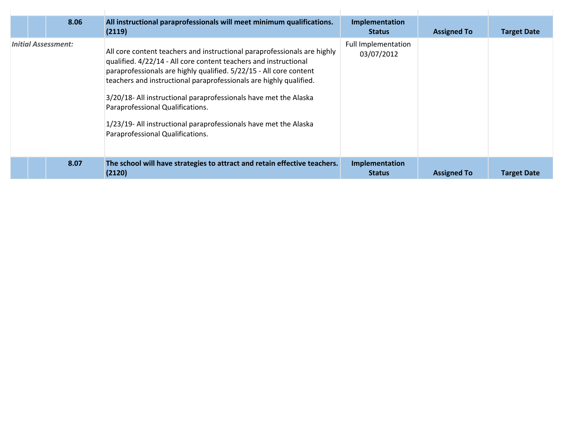|  | 8.06                       | All instructional paraprofessionals will meet minimum qualifications.<br>(2119)                                                                                                                                                                                                                                                                                                                                                                                                                          | Implementation<br><b>Status</b>          | <b>Assigned To</b> | <b>Target Date</b> |
|--|----------------------------|----------------------------------------------------------------------------------------------------------------------------------------------------------------------------------------------------------------------------------------------------------------------------------------------------------------------------------------------------------------------------------------------------------------------------------------------------------------------------------------------------------|------------------------------------------|--------------------|--------------------|
|  | <b>Initial Assessment:</b> | All core content teachers and instructional paraprofessionals are highly<br>qualified. 4/22/14 - All core content teachers and instructional<br>paraprofessionals are highly qualified. 5/22/15 - All core content<br>teachers and instructional paraprofessionals are highly qualified.<br>3/20/18- All instructional paraprofessionals have met the Alaska<br>Paraprofessional Qualifications.<br>1/23/19- All instructional paraprofessionals have met the Alaska<br>Paraprofessional Qualifications. | <b>Full Implementation</b><br>03/07/2012 |                    |                    |
|  | 8.07                       | The school will have strategies to attract and retain effective teachers.<br>(2120)                                                                                                                                                                                                                                                                                                                                                                                                                      | Implementation<br><b>Status</b>          | <b>Assigned To</b> | <b>Target Date</b> |